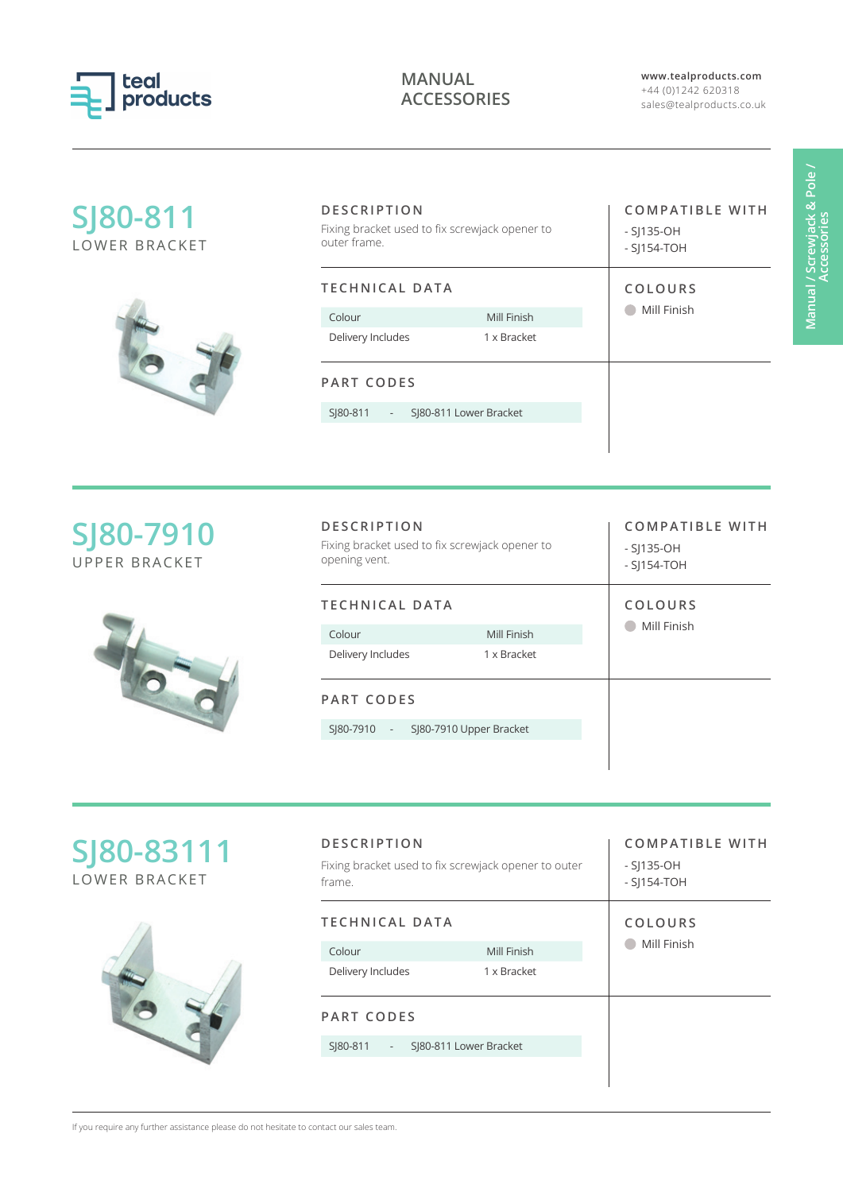

**www.tealproducts.com** +44 (0)1242 620318 sales@tealproducts.co.uk

| SJ80-811<br><b>LOWER BRACKET</b>  | <b>DESCRIPTION</b><br>Fixing bracket used to fix screwjack opener to<br>outer frame.  |                            | <b>COMPATIBLE WITH</b><br>$-SJ135-OH$<br>$-SJ154-TOH$  |
|-----------------------------------|---------------------------------------------------------------------------------------|----------------------------|--------------------------------------------------------|
|                                   | <b>TECHNICAL DATA</b>                                                                 |                            | COLOURS                                                |
|                                   | Colour<br>Delivery Includes                                                           | Mill Finish<br>1 x Bracket | Mill Finish                                            |
|                                   | <b>PART CODES</b>                                                                     |                            |                                                        |
|                                   | SI80-811                                                                              | SJ80-811 Lower Bracket     |                                                        |
| SJ80-7910<br><b>UPPER BRACKET</b> | <b>DESCRIPTION</b><br>Fixing bracket used to fix screwjack opener to<br>opening vent. |                            | <b>COMPATIBLE WITH</b><br>$-S$  135-OH<br>$-SJ154-TOH$ |
|                                   | <b>TECHNICAL DATA</b>                                                                 |                            |                                                        |
|                                   | Colour                                                                                | Mill Finish                |                                                        |
|                                   |                                                                                       |                            | Mill Finish                                            |
|                                   | Delivery Includes                                                                     | 1 x Bracket                |                                                        |
|                                   | <b>PART CODES</b>                                                                     |                            |                                                        |

| SJ80-83111<br>LOWER BRACKET | <b>DESCRIPTION</b><br>Fixing bracket used to fix screwjack opener to outer<br>frame. |                        | <b>COMPATIBLE WITH</b><br>$-S$  135-OH<br>$-SI154-TOH$ |
|-----------------------------|--------------------------------------------------------------------------------------|------------------------|--------------------------------------------------------|
|                             | <b>TECHNICAL DATA</b>                                                                |                        | COLOURS                                                |
|                             | Colour                                                                               | Mill Finish            | Mill Finish                                            |
|                             | Delivery Includes                                                                    | 1 x Bracket            |                                                        |
|                             | <b>PART CODES</b>                                                                    |                        |                                                        |
|                             | SI80-811<br>$\overline{\phantom{a}}$                                                 | SJ80-811 Lower Bracket |                                                        |
|                             |                                                                                      |                        |                                                        |

If you require any further assistance please do not hesitate to contact our sales team.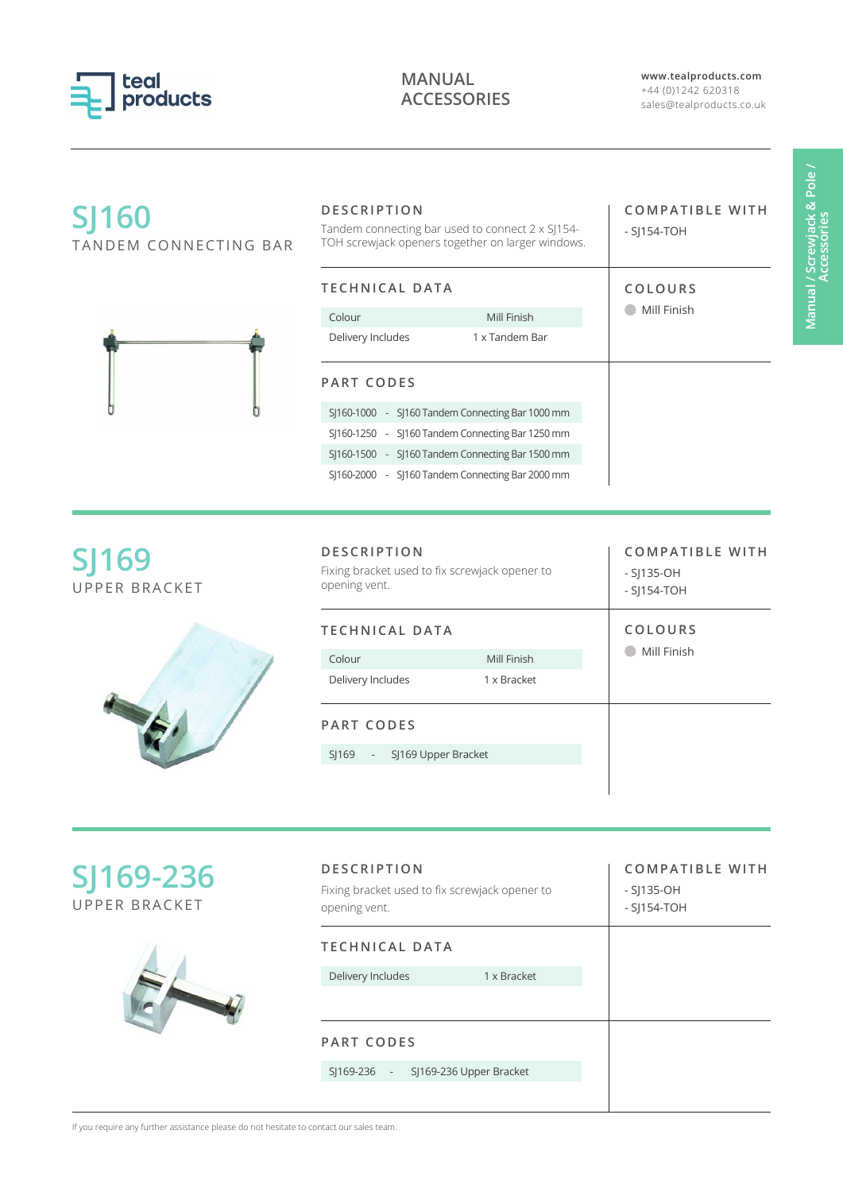

**www.tealproducts.com** +44 (0)1242 620318 sales@tealproducts.co.uk

| <b>SJ160</b><br>TANDEM CONNECTING BAR | <b>DESCRIPTION</b><br>Tandem connecting bar used to connect 2 x SJ154-<br>TOH screwjack openers together on larger windows. | <b>COMPATIBLE WITH</b><br>$-$ SI154-TOH |
|---------------------------------------|-----------------------------------------------------------------------------------------------------------------------------|-----------------------------------------|
|                                       | <b>TECHNICAL DATA</b>                                                                                                       | COLOURS                                 |
|                                       | Mill Finish<br>Colour                                                                                                       | Mill Finish                             |
|                                       | Delivery Includes<br>1 x Tandem Bar                                                                                         |                                         |
|                                       | <b>PART CODES</b>                                                                                                           |                                         |
|                                       | SJ160-1000 - SJ160 Tandem Connecting Bar 1000 mm                                                                            |                                         |
|                                       | SJ160-1250 - SJ160 Tandem Connecting Bar 1250 mm                                                                            |                                         |
|                                       | SJ160-1500 - SJ160 Tandem Connecting Bar 1500 mm                                                                            |                                         |
|                                       | S 160-2000 - S 160 Tandem Connecting Bar 2000 mm                                                                            |                                         |
| <b>SJ169</b><br><b>UPPER BRACKET</b>  | Fixing bracket used to fix screwjack opener to<br>opening vent.                                                             | - SJ135-OH<br>- SJ154-TOH               |
|                                       | <b>TECHNICAL DATA</b>                                                                                                       | COLOURS                                 |
|                                       | Mill Finish<br>Colour                                                                                                       | Mill Finish                             |
|                                       | Delivery Includes<br>1 x Bracket                                                                                            |                                         |
|                                       | <b>PART CODES</b>                                                                                                           |                                         |
|                                       | SJ169 Upper Bracket<br>$S$  169                                                                                             |                                         |
|                                       |                                                                                                                             |                                         |
| SJ169-236                             | <b>DESCRIPTION</b><br>Fixing bracket used to fix screwjack opener to                                                        | <b>COMPATIBLE WITH</b><br>- SJ135-OH    |
| UPPER BRACKET                         | opening vent.                                                                                                               | $-$ SI154-TOH                           |



| <b>DESCRIPTION</b><br>Fixing bracket used to fix screwjack opener to<br>opening vent. |             | <b>COMPATIBLE WITH</b><br>$-S$  135-OH<br>$-S$ ]154-TOH |
|---------------------------------------------------------------------------------------|-------------|---------------------------------------------------------|
| TECHNICAL DATA                                                                        |             |                                                         |
| Delivery Includes                                                                     | 1 x Bracket |                                                         |
|                                                                                       |             |                                                         |
| <b>PART CODES</b>                                                                     |             |                                                         |
| SJ169-236 - SJ169-236 Upper Bracket                                                   |             |                                                         |
|                                                                                       |             |                                                         |

If you require any further assistance please do not hesitate to contact our sales team.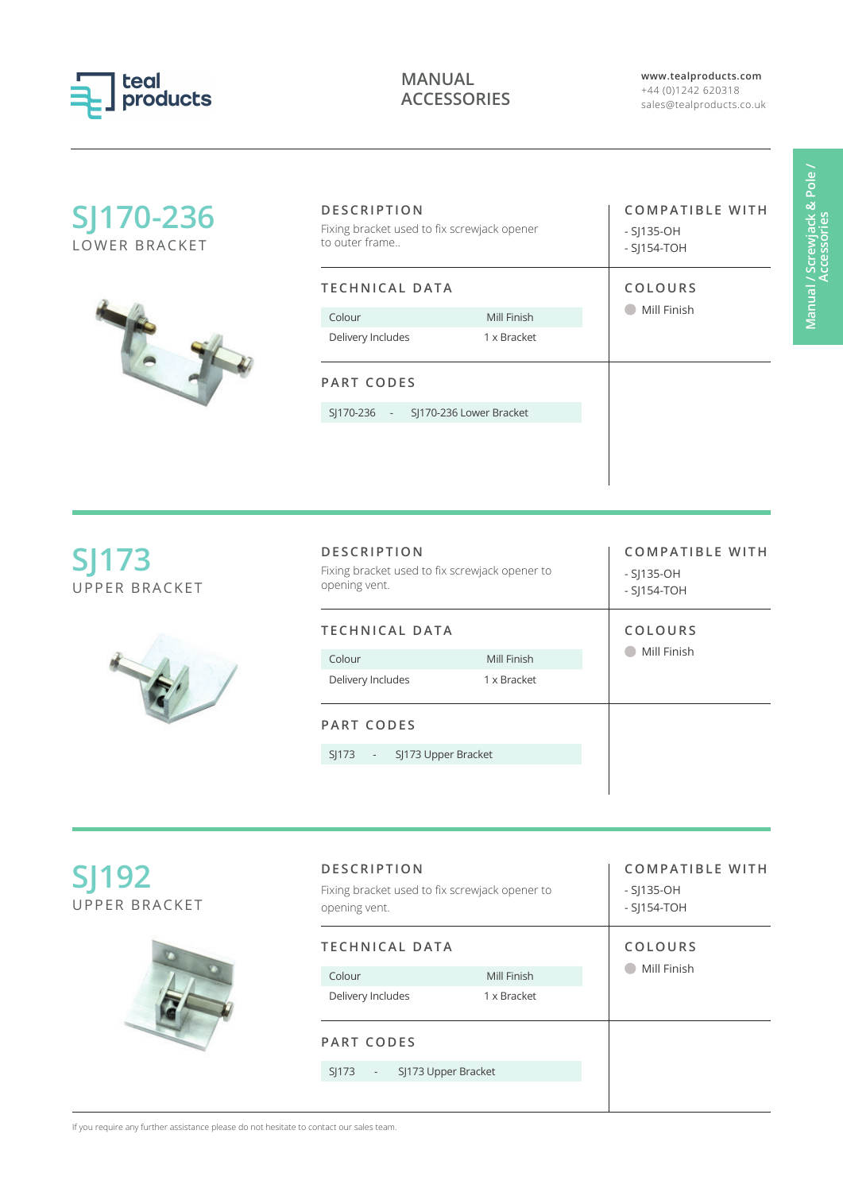

**www.tealproducts.com** +44 (0)1242 620318 sales@tealproducts.co.uk

| SJ170-236<br>LOWER BRACKET           | <b>DESCRIPTION</b><br>Fixing bracket used to fix screwjack opener<br>to outer frame   |                            | <b>COMPATIBLE WITH</b><br>$-SJ135-OH$<br>$-$ SJ154-TOH |
|--------------------------------------|---------------------------------------------------------------------------------------|----------------------------|--------------------------------------------------------|
|                                      | <b>TECHNICAL DATA</b><br>Colour<br>Delivery Includes                                  | Mill Finish<br>1 x Bracket | COLOURS<br>Mill Finish                                 |
|                                      | <b>PART CODES</b><br>SJ170-236 Lower Bracket<br>SJ170-236 -                           |                            |                                                        |
| <b>SJ173</b><br><b>UPPER BRACKET</b> | <b>DESCRIPTION</b><br>Fixing bracket used to fix screwjack opener to<br>opening vent. |                            | <b>COMPATIBLE WITH</b><br>$-S$ ]135-OH<br>$-SJ154-TOH$ |
|                                      | <b>TECHNICAL DATA</b><br>Colour                                                       | Mill Finish                | COLOURS<br>Mill Finish                                 |

| <b>DESCRIPTION</b><br>Fixing bracket used to fix screwjack opener to<br>opening vent. |             | <b>COMPATIBLE WITH</b><br>$-S$  135-OH<br>$-$ S 154-TOH |
|---------------------------------------------------------------------------------------|-------------|---------------------------------------------------------|
| TECHNICAL DATA                                                                        |             | COLOURS<br>Mill Finish                                  |
| Colour                                                                                | Mill Finish |                                                         |
| Delivery Includes                                                                     | 1 x Bracket |                                                         |
| PART CODES                                                                            |             |                                                         |
| SJ173 Upper Bracket<br>SI173<br>$\sim 1000$ km s $^{-1}$                              |             |                                                         |
|                                                                                       |             |                                                         |

| <b>SJ192</b> |               |
|--------------|---------------|
|              | UPPER BRACKET |



| <b>DESCRIPTION</b><br>Fixing bracket used to fix screwjack opener to<br>opening vent. |                            | <b>COMPATIBLE WITH</b><br>$-S$  135-OH<br>$-$ S 154-TOH |
|---------------------------------------------------------------------------------------|----------------------------|---------------------------------------------------------|
| TECHNICAL DATA<br>Colour<br>Delivery Includes                                         | Mill Finish<br>1 x Bracket | COLOURS<br>Mill Finish                                  |
| PART CODES<br>SJ173 Upper Bracket<br>SI173<br>$\sim 100$                              |                            |                                                         |